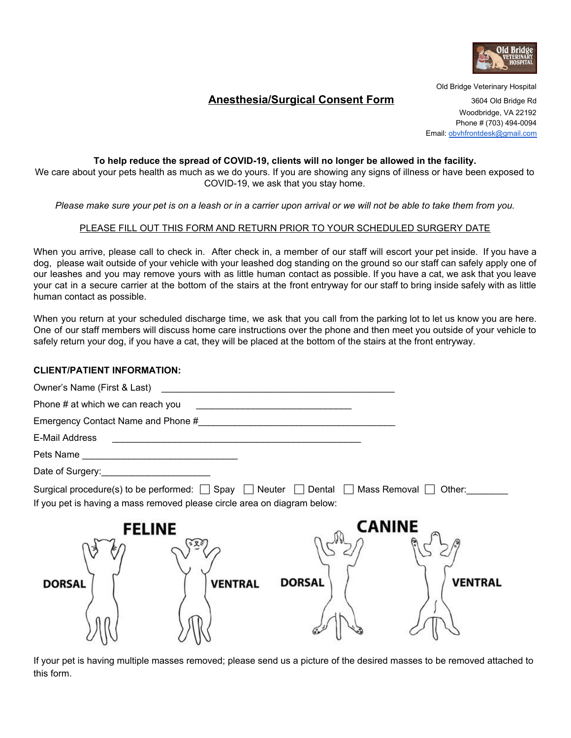

# **Anesthesia/Surgical Consent Form** 3604 Old Bridge Rd

Old Bridge Veterinary Hospital Woodbridge, VA 22192 Phone # (703) 494-0094 Email: [obvhfrontdesk@gmail.com](mailto:obvhfrontdesk@gmail.com)

## **To help reduce the spread of COVID-19, clients will no longer be allowed in the facility.**

We care about your pets health as much as we do yours. If you are showing any signs of illness or have been exposed to COVID-19, we ask that you stay home.

Please make sure your pet is on a leash or in a carrier upon arrival or we will not be able to take them from you.

## PLEASE FILL OUT THIS FORM AND RETURN PRIOR TO YOUR SCHEDULED SURGERY DATE

When you arrive, please call to check in. After check in, a member of our staff will escort your pet inside. If you have a dog, please wait outside of your vehicle with your leashed dog standing on the ground so our staff can safely apply one of our leashes and you may remove yours with as little human contact as possible. If you have a cat, we ask that you leave your cat in a secure carrier at the bottom of the stairs at the front entryway for our staff to bring inside safely with as little human contact as possible.

When you return at your scheduled discharge time, we ask that you call from the parking lot to let us know you are here. One of our staff members will discuss home care instructions over the phone and then meet you outside of your vehicle to safely return your dog, if you have a cat, they will be placed at the bottom of the stairs at the front entryway.

### **CLIENT/PATIENT INFORMATION:**

| E-Mail Address                                                                                                                                                                               |               |                          |
|----------------------------------------------------------------------------------------------------------------------------------------------------------------------------------------------|---------------|--------------------------|
|                                                                                                                                                                                              |               |                          |
| Date of Surgery: __________________________                                                                                                                                                  |               |                          |
| Surgical procedure(s) to be performed: $\Box$ Spay $\Box$ Neuter $\Box$ Dental $\Box$ Mass Removal $\Box$ Other:<br>If you pet is having a mass removed please circle area on diagram below: |               |                          |
| <b>FELINE</b><br><b>VENTRAL</b><br><b>DORSAL</b>                                                                                                                                             | <b>DORSAL</b> | <b>CANINE</b><br>VENTRAL |

If your pet is having multiple masses removed; please send us a picture of the desired masses to be removed attached to this form.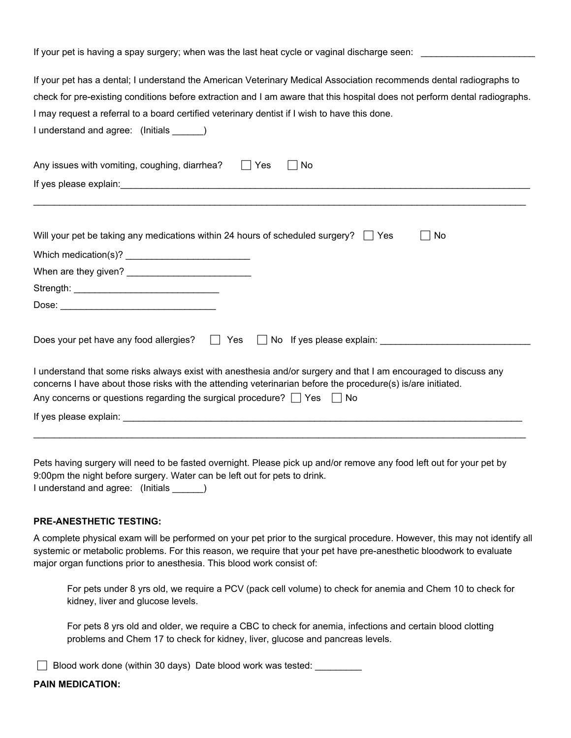| If your pet is having a spay surgery; when was the last heat cycle or vaginal discharge seen:                                                                                                                                   |  |  |
|---------------------------------------------------------------------------------------------------------------------------------------------------------------------------------------------------------------------------------|--|--|
| If your pet has a dental; I understand the American Veterinary Medical Association recommends dental radiographs to                                                                                                             |  |  |
| check for pre-existing conditions before extraction and I am aware that this hospital does not perform dental radiographs.                                                                                                      |  |  |
| I may request a referral to a board certified veterinary dentist if I wish to have this done.                                                                                                                                   |  |  |
| I understand and agree: (Initials _____)                                                                                                                                                                                        |  |  |
| Any issues with vomiting, coughing, diarrhea?<br>Yes<br>No                                                                                                                                                                      |  |  |
| If yes please explain: example and a series of the series of the series of the series of the series of the series of the series of the series of the series of the series of the series of the series of the series of the ser  |  |  |
|                                                                                                                                                                                                                                 |  |  |
|                                                                                                                                                                                                                                 |  |  |
| Will your pet be taking any medications within 24 hours of scheduled surgery? $\Box$ Yes<br>No                                                                                                                                  |  |  |
|                                                                                                                                                                                                                                 |  |  |
|                                                                                                                                                                                                                                 |  |  |
|                                                                                                                                                                                                                                 |  |  |
|                                                                                                                                                                                                                                 |  |  |
|                                                                                                                                                                                                                                 |  |  |
| Does your pet have any food allergies? $\Box$ Yes<br>No If yes please explain:                                                                                                                                                  |  |  |
| I understand that some risks always exist with anesthesia and/or surgery and that I am encouraged to discuss any<br>concerns I have about those risks with the attending veterinarian before the procedure(s) is/are initiated. |  |  |
| Any concerns or questions regarding the surgical procedure? $\Box$ Yes $\Box$ No                                                                                                                                                |  |  |
| If yes please explain: The state of the state of the state of the state of the state of the state of the state of the state of the state of the state of the state of the state of the state of the state of the state of the   |  |  |
|                                                                                                                                                                                                                                 |  |  |

Pets having surgery will need to be fasted overnight. Please pick up and/or remove any food left out for your pet by 9:00pm the night before surgery. Water can be left out for pets to drink. I understand and agree: (Initials \_\_\_\_\_\_)

#### **PRE-ANESTHETIC TESTING:**

A complete physical exam will be performed on your pet prior to the surgical procedure. However, this may not identify all systemic or metabolic problems. For this reason, we require that your pet have pre-anesthetic bloodwork to evaluate major organ functions prior to anesthesia. This blood work consist of:

For pets under 8 yrs old, we require a PCV (pack cell volume) to check for anemia and Chem 10 to check for kidney, liver and glucose levels.

For pets 8 yrs old and older, we require a CBC to check for anemia, infections and certain blood clotting problems and Chem 17 to check for kidney, liver, glucose and pancreas levels.

□ Blood work done (within 30 days) Date blood work was tested: \_\_\_\_\_\_\_\_\_

# **PAIN MEDICATION:**